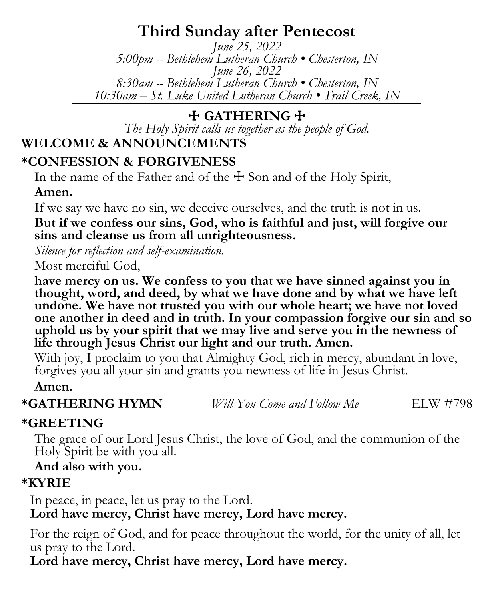# **Third Sunday after Pentecost**

*June 25, 2022 5:00pm -- Bethlehem Lutheran Church • Chesterton, IN June 26, 2022 8:30am -- Bethlehem Lutheran Church • Chesterton, IN 10:30am – St. Luke United Lutheran Church • Trail Creek, IN*

## ☩ **GATHERING** ☩

*The Holy Spirit calls us together as the people of God.*

# **WELCOME & ANNOUNCEMENTS**

## **\*CONFESSION & FORGIVENESS**

In the name of the Father and of the  $\pm$  Son and of the Holy Spirit,

## **Amen.**

If we say we have no sin, we deceive ourselves, and the truth is not in us.

**But if we confess our sins, God, who is faithful and just, will forgive our sins and cleanse us from all unrighteousness.**

*Silence for reflection and self-examination.*

Most merciful God,

**have mercy on us. We confess to you that we have sinned against you in thought, word, and deed, by what we have done and by what we have left undone. We have not trusted you with our whole heart; we have not loved one another in deed and in truth. In your compassion forgive our sin and so uphold us by your spirit that we may live and serve you in the newness of life through Jesus Christ our light and our truth. Amen.**

With joy, I proclaim to you that Almighty God, rich in mercy, abundant in love, forgives you all your sin and grants you newness of life in Jesus Christ.

**Amen.**

**\*GATHERING HYMN** *Will You Come and Follow Me* ELW #798

## **\*GREETING**

The grace of our Lord Jesus Christ, the love of God, and the communion of the Holy Spirit be with you all.

## **And also with you.**

## **\*KYRIE**

In peace, in peace, let us pray to the Lord. **Lord have mercy, Christ have mercy, Lord have mercy.**

For the reign of God, and for peace throughout the world, for the unity of all, let us pray to the Lord.

**Lord have mercy, Christ have mercy, Lord have mercy.**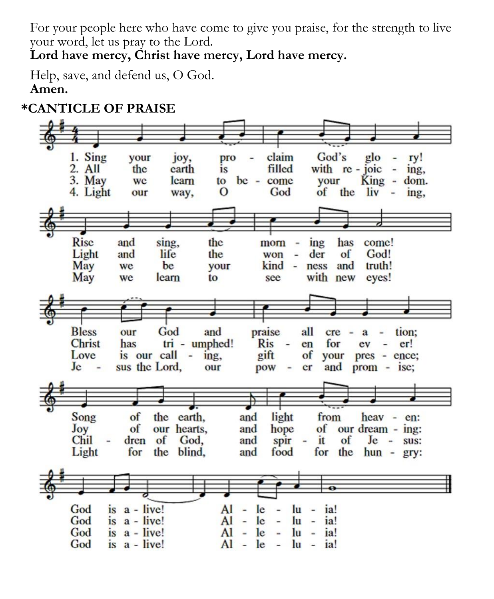For your people here who have come to give you praise, for the strength to live your word, let us pray to the Lord.

**Lord have mercy, Christ have mercy, Lord have mercy.**

Help, save, and defend us, O God. **Amen.** 

## **\*CANTICLE OF PRAISE**

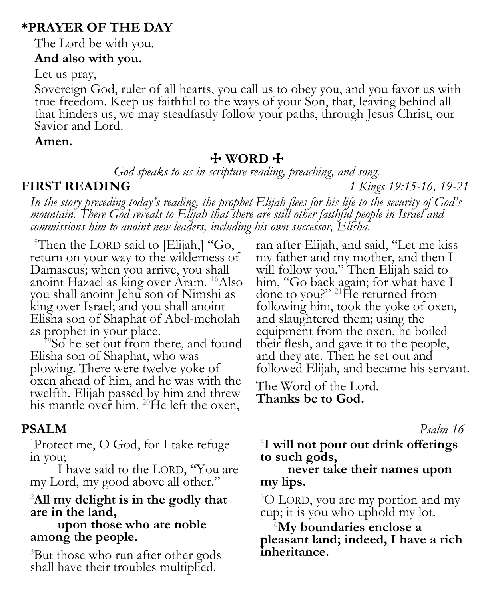## **\*PRAYER OF THE DAY**

The Lord be with you.

### **And also with you.**

Let us pray,

Sovereign God, ruler of all hearts, you call us to obey you, and you favor us with true freedom. Keep us faithful to the ways of your Son, that, leaving behind all that hinders us, we may steadfastly follow your paths, through Jesus Christ, our Savior and Lord.

### **Amen.**

## ☩ **WORD** ☩

*God speaks to us in scripture reading, preaching, and song.*

**FIRST READING** *1 Kings 19:15-16, 19-21*

*In the story preceding today's reading, the prophet Elijah flees for his life to the security of God's mountain. There God reveals to Elijah that there are still other faithful people in Israel and commissions him to anoint new leaders, including his own successor, Elisha.*

<sup>15</sup>Then the LORD said to [Elijah,] "Go, return on your way to the wilderness of Damascus; when you arrive, you shall anoint Hazael as king over Aram. <sup>16</sup>Also you shall anoint Jehu son of Nimshi as king over Israel; and you shall anoint Elisha son of Shaphat of Abel-meholah as prophet in your place.

<sup>19</sup>So he set out from there, and found Elisha son of Shaphat, who was plowing. There were twelve yoke of oxen ahead of him, and he was with the twelfth. Elijah passed by him and threw his mantle over him. <sup>20</sup>He left the oxen,

## **PSALM** *Psalm 16*

<sup>1</sup>Protect me, O God, for I take refuge in you;

I have said to the LORD, "You are my Lord, my good above all other."

### <sup>2</sup>**All my delight is in the godly that are in the land,**

**upon those who are noble among the people.**

<sup>3</sup>But those who run after other gods shall have their troubles multiplied.

ran after Elijah, and said, "Let me kiss my father and my mother, and then I will follow you." Then Elijah said to him, "Go back again; for what have I done to you?" <sup>21</sup>He returned from following him, took the yoke of oxen, and slaughtered them; using the equipment from the oxen, he boiled their flesh, and gave it to the people, and they ate. Then he set out and followed Elijah, and became his servant.

The Word of the Lord. **Thanks be to God.**

4 **I will not pour out drink offerings to such gods,**

### **never take their names upon my lips.**

<sup>5</sup>O LORD, you are my portion and my cup; it is you who uphold my lot.

<sup>6</sup>**My boundaries enclose a pleasant land; indeed, I have a rich inheritance.**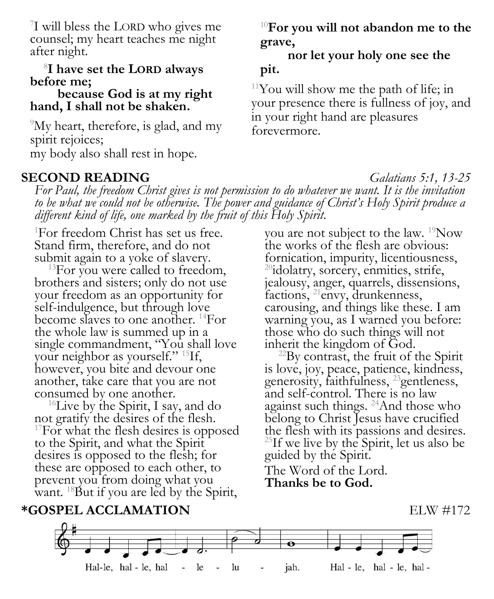7 I will bless the LORD who gives me counsel; my heart teaches me night after night.

### 8 **I have set the LORD always before me;**

### **because God is at my right hand, I shall not be shaken.**

<sup>9</sup>My heart, therefore, is glad, and my spirit rejoices; my body also shall rest in hope.

### **SECOND READING** *Galatians 5:1, 13-25*

<sup>10</sup>**For you will not abandon me to the grave,**

**nor let your holy one see the pit.**

 $11$ You will show me the path of life; in your presence there is fullness of joy, and in your right hand are pleasures forevermore.

*For Paul, the freedom Christ gives is not permission to do whatever we want. It is the invitation to be what we could not be otherwise. The power and guidance of Christ's Holy Spirit produce a different kind of life, one marked by the fruit of this Holy Spirit.*

<sup>1</sup>For freedom Christ has set us free. Stand firm, therefore, and do not submit again to a yoke of slavery.

<sup>13</sup>For you were called to freedom, brothers and sisters; only do not use your freedom as an opportunity for self-indulgence, but through love become slaves to one another. <sup>14</sup>For the whole law is summed up in a single commandment, "You shall love your neighbor as yourself." <sup>15</sup>If, however, you bite and devour one another, take care that you are not consumed by one another.

<sup>16</sup>Live by the Spirit, I say, and do not gratify the desires of the flesh. <sup>17</sup>For what the flesh desires is opposed to the Spirit, and what the Spirit desires is opposed to the flesh; for these are opposed to each other, to prevent you from doing what you want. <sup>18</sup>But if you are led by the Spirit,

you are not subject to the law. <sup>19</sup>Now the works of the flesh are obvious: fornication, impurity, licentiousness, <sup>20</sup>idolatry, sorcery, enmities, strife, jealousy, anger, quarrels, dissensions, factions, <sup>21</sup>envy, drunkenness, carousing, and things like these. I am warning you, as I warned you before: those who do such things will not inherit the kingdom of God.

 $^{22}$ By contrast, the fruit of the Spirit is love, joy, peace, patience, kindness, generosity, faithfulness, <sup>23</sup>gentleness, and self-control. There is no law against such things. <sup>24</sup>And those who belong to Christ Jesus have crucified the flesh with its passions and desires.  $^{25}$ If we live by the Spirit, let us also be guided by the Spirit. The Word of the Lord.

**Thanks be to God.**

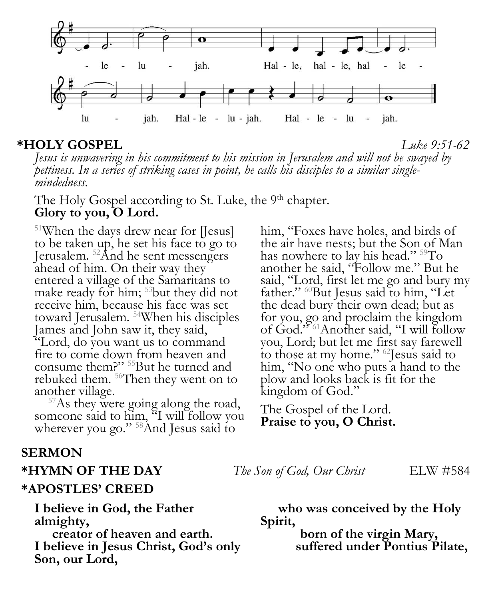

**\*HOLY GOSPEL** *Luke 9:51-62 Jesus is unwavering in his commitment to his mission in Jerusalem and will not be swayed by pettiness. In a series of striking cases in point, he calls his disciples to a similar single-*

*mindedness.*

The Holy Gospel according to St. Luke, the 9<sup>th</sup> chapter. **Glory to you, O Lord.**

<sup>51</sup>When the days drew near for [Jesus] to be taken up, he set his face to go to Jerusalem. <sup>52</sup>And he sent messengers ahead of him. On their way they entered a village of the Samaritans to make ready for him; <sup>53</sup>but they did not receive him, because his face was set toward Jerusalem. <sup>54</sup>When his disciples James and John saw it, they said, "Lord, do you want us to command fire to come down from heaven and consume them?" <sup>55</sup>But he turned and rebuked them.  $56$ Then they went on to another village.

<sup>57</sup>As they were going along the road, someone said to him, "I will follow you wherever you go." <sup>58</sup>And Jesus said to

### **SERMON**

### **\*HYMN OF THE DAY** *The Son of God, Our Christ* ELW #584

### **\*APOSTLES' CREED**

**I believe in God, the Father almighty,** 

**creator of heaven and earth. I believe in Jesus Christ, God's only Son, our Lord,**

him, "Foxes have holes, and birds of the air have nests; but the Son of Man has nowhere to lay his head." <sup>59</sup>To another he said, "Follow me." But he said, "Lord, first let me go and bury my father." <sup>60</sup>But Jesus said to him, "Let the dead bury their own dead; but as for you, go and proclaim the kingdom of God.<sup>2561</sup>Another said, "I will follow you, Lord; but let me first say farewell to those at my home." <sup>62</sup>Jesus said to him, "No one who puts a hand to the plow and looks back is fit for the kingdom of God."

The Gospel of the Lord. **Praise to you, O Christ.**

**who was conceived by the Holy Spirit,**

> **born of the virgin Mary, suffered under Pontius Pilate,**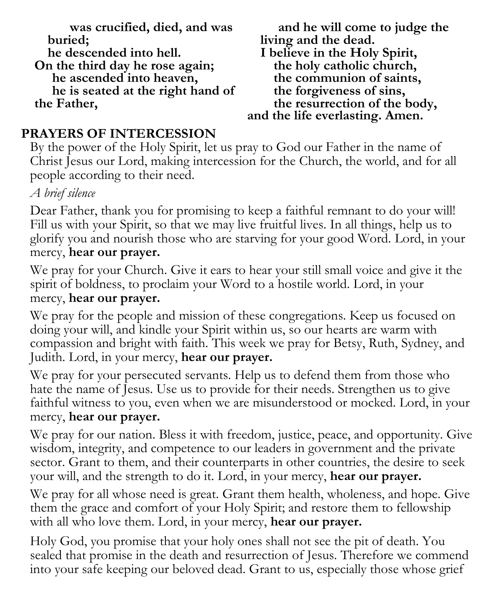**was crucified, died, and was buried;**

**he descended into hell.**

**On the third day he rose again; he ascended into heaven, he is seated at the right hand of the Father,**

**and he will come to judge the living and the dead. I believe in the Holy Spirit, the holy catholic church, the communion of saints, the forgiveness of sins, the resurrection of the body, and the life everlasting. Amen.**

## **PRAYERS OF INTERCESSION**

By the power of the Holy Spirit, let us pray to God our Father in the name of Christ Jesus our Lord, making intercession for the Church, the world, and for all people according to their need.

*A brief silence*

Dear Father, thank you for promising to keep a faithful remnant to do your will! Fill us with your Spirit, so that we may live fruitful lives. In all things, help us to glorify you and nourish those who are starving for your good Word. Lord, in your mercy, **hear our prayer.**

We pray for your Church. Give it ears to hear your still small voice and give it the spirit of boldness, to proclaim your Word to a hostile world. Lord, in your mercy, **hear our prayer.**

We pray for the people and mission of these congregations. Keep us focused on doing your will, and kindle your Spirit within us, so our hearts are warm with compassion and bright with faith. This week we pray for Betsy, Ruth, Sydney, and Judith. Lord, in your mercy, **hear our prayer.**

We pray for your persecuted servants. Help us to defend them from those who hate the name of Jesus. Use us to provide for their needs. Strengthen us to give faithful witness to you, even when we are misunderstood or mocked. Lord, in your mercy, **hear our prayer.**

We pray for our nation. Bless it with freedom, justice, peace, and opportunity. Give wisdom, integrity, and competence to our leaders in government and the private sector. Grant to them, and their counterparts in other countries, the desire to seek your will, and the strength to do it. Lord, in your mercy, **hear our prayer.**

We pray for all whose need is great. Grant them health, wholeness, and hope. Give them the grace and comfort of your Holy Spirit; and restore them to fellowship with all who love them. Lord, in your mercy, **hear our prayer.**

Holy God, you promise that your holy ones shall not see the pit of death. You sealed that promise in the death and resurrection of Jesus. Therefore we commend into your safe keeping our beloved dead. Grant to us, especially those whose grief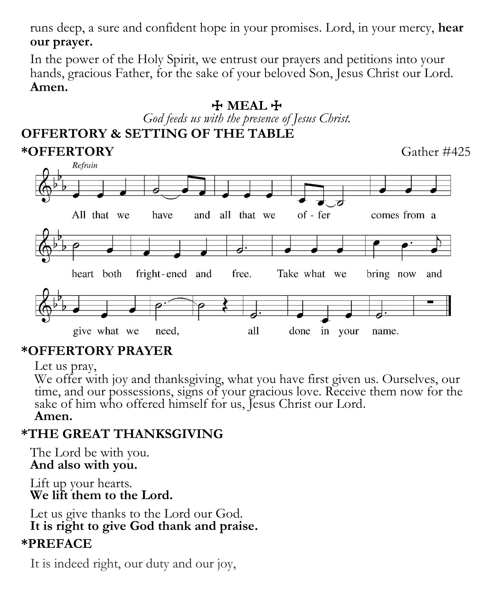runs deep, a sure and confident hope in your promises. Lord, in your mercy, **hear our prayer.**

In the power of the Holy Spirit, we entrust our prayers and petitions into your hands, gracious Father, for the sake of your beloved Son, Jesus Christ our Lord. **Amen.**

### ☩ **MEAL** ☩ *God feeds us with the presence of Jesus Christ.* **OFFERTORY & SETTING OF THE TABLE \*OFFERTORY** Gather #425 Refrain of - fer All that we have and all that we comes from a heart both fright-ened and free. Take what we bring now and need, all give what we done in your name.

# **\*OFFERTORY PRAYER**

Let us pray,

We offer with joy and thanksgiving, what you have first given us. Ourselves, our time, and our possessions, signs of your gracious love. Receive them now for the sake of him who offered himself for us, Jesus Christ our Lord. **Amen.**

# **\*THE GREAT THANKSGIVING**

The Lord be with you. **And also with you.** 

Lift up your hearts. **We lift them to the Lord.** 

Let us give thanks to the Lord our God. **It is right to give God thank and praise.** 

## **\*PREFACE**

It is indeed right, our duty and our joy,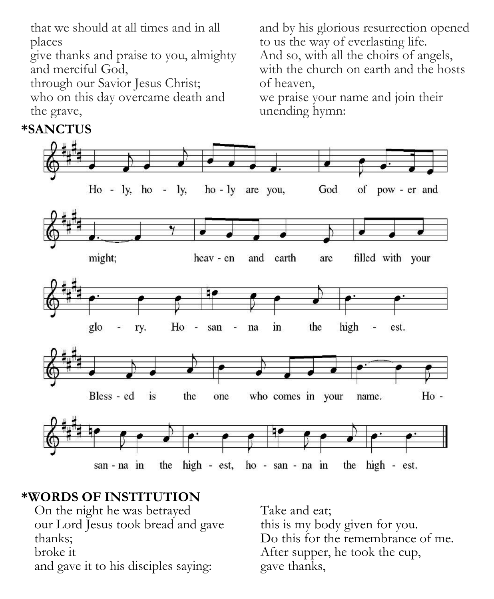that we should at all times and in all places

give thanks and praise to you, almighty and merciful God,

through our Savior Jesus Christ; who on this day overcame death and the grave,

and by his glorious resurrection opened to us the way of everlasting life. And so, with all the choirs of angels, with the church on earth and the hosts of heaven,

we praise your name and join their unending hymn:



## **\*WORDS OF INSTITUTION**

On the night he was betrayed our Lord Jesus took bread and gave thanks;

broke it

and gave it to his disciples saying:

Take and eat; this is my body given for you. Do this for the remembrance of me. After supper, he took the cup, gave thanks,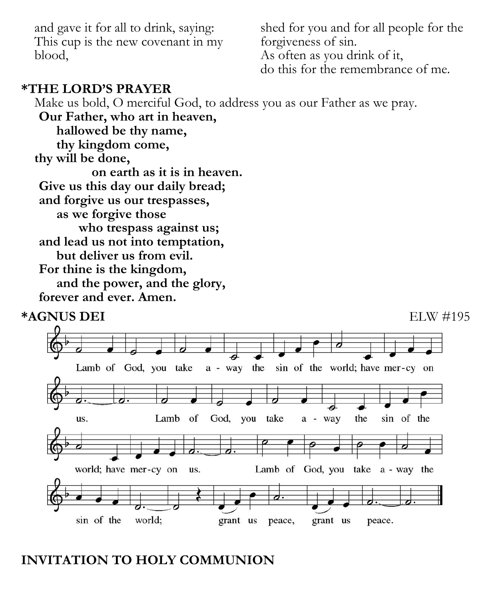and gave it for all to drink, saying: This cup is the new covenant in my blood,

shed for you and for all people for the forgiveness of sin. As often as you drink of it, do this for the remembrance of me.

### **\*THE LORD'S PRAYER**

Make us bold, O merciful God, to address you as our Father as we pray.

**Our Father, who art in heaven, hallowed be thy name, thy kingdom come, thy will be done, on earth as it is in heaven. Give us this day our daily bread; and forgive us our trespasses, as we forgive those who trespass against us; and lead us not into temptation, but deliver us from evil. For thine is the kingdom, and the power, and the glory, forever and ever. Amen.**



## **INVITATION TO HOLY COMMUNION**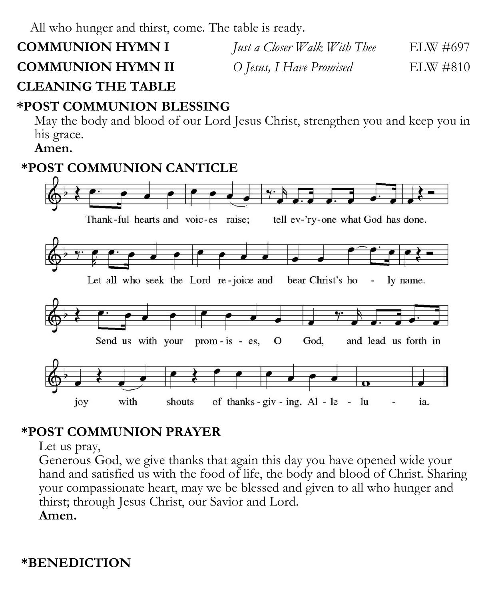All who hunger and thirst, come. The table is ready.

**COMMUNION HYMN I** *Just a Closer Walk With Thee* ELW #697 **COMMUNION HYMN II** *O Jesus, I Have Promised* ELW #810

# **CLEANING THE TABLE**

# **\*POST COMMUNION BLESSING**

May the body and blood of our Lord Jesus Christ, strengthen you and keep you in his grace.

### **Amen.**

## **\*POST COMMUNION CANTICLE**



# **\*POST COMMUNION PRAYER**

Let us pray,

Generous God, we give thanks that again this day you have opened wide your hand and satisfied us with the food of life, the body and blood of Christ. Sharing your compassionate heart, may we be blessed and given to all who hunger and thirst; through Jesus Christ, our Savior and Lord. **Amen.**

**\*BENEDICTION**